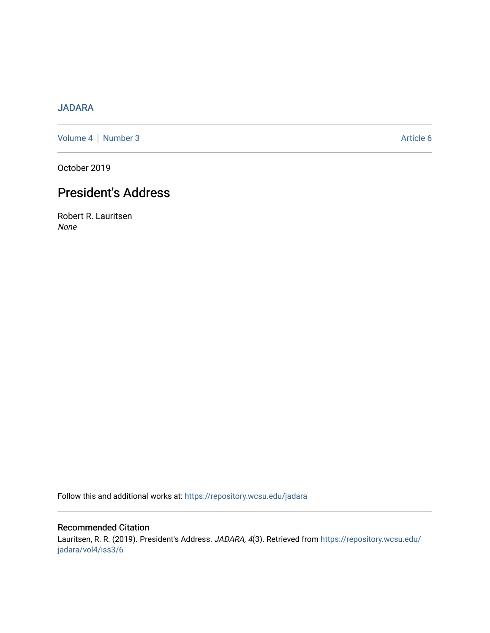## [JADARA](https://repository.wcsu.edu/jadara)

[Volume 4](https://repository.wcsu.edu/jadara/vol4) | [Number 3](https://repository.wcsu.edu/jadara/vol4/iss3) Article 6

October 2019

# President's Address

Robert R. Lauritsen None

Follow this and additional works at: [https://repository.wcsu.edu/jadara](https://repository.wcsu.edu/jadara?utm_source=repository.wcsu.edu%2Fjadara%2Fvol4%2Fiss3%2F6&utm_medium=PDF&utm_campaign=PDFCoverPages)

## Recommended Citation

Lauritsen, R. R. (2019). President's Address. JADARA, 4(3). Retrieved from [https://repository.wcsu.edu/](https://repository.wcsu.edu/jadara/vol4/iss3/6?utm_source=repository.wcsu.edu%2Fjadara%2Fvol4%2Fiss3%2F6&utm_medium=PDF&utm_campaign=PDFCoverPages) [jadara/vol4/iss3/6](https://repository.wcsu.edu/jadara/vol4/iss3/6?utm_source=repository.wcsu.edu%2Fjadara%2Fvol4%2Fiss3%2F6&utm_medium=PDF&utm_campaign=PDFCoverPages)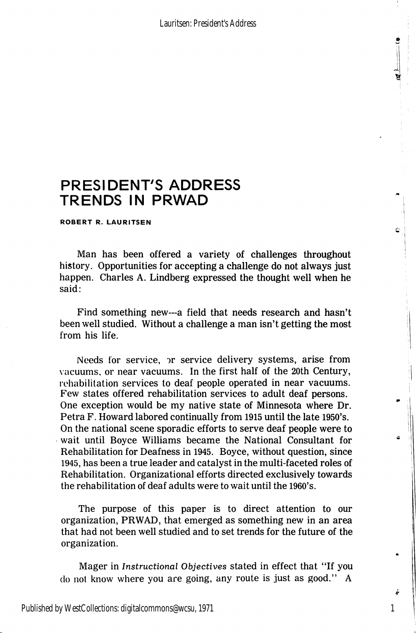## PRESIDENT'S ADDRESS TRENDS IN PRWAD

ROBERT R. LAURITSEN

Man has been offered a variety of challenges throughout history. Opportunities for accepting a challenge do not always just happen. Charles A. Lindberg expressed the thought well when he said;

Find something new—a field that needs research and hasn't been well studied. Without a challenge a man isn't getting the most from his life.

Needs for service, or service delivery systems, arise from vacuums, or near vacuums. In the first half of the 20th Century, rehabilitation services to deaf people operated in near vacuums. Few states offered rehabilitation services to adult deaf persons. One exception would be my native state of Minnesota where Dr. Petra F. Howard labored continually from 1915 until the late 1950's. On the national scene sporadic efforts to serve deaf people were to wait until Boyce Williams became the National Consultant for Rehabilitation for Deafness in 1945. Boyce, without question, since 1945, has been a true leader and catalyst in the multi-faceted roles of Rehabilitation. Organizational efforts directed exclusively towards the rehabilitation of deaf adults were to wait until the 1960's.

The purpose of this paper is to direct attention to our organization, PRWAD, that emerged as something new in an area that had not been well studied and to set trends for the future of the organization.

Mager in Instructional Objectives stated in effect that "If you do not know where you are going, any route is just as good." A

1

Ċ.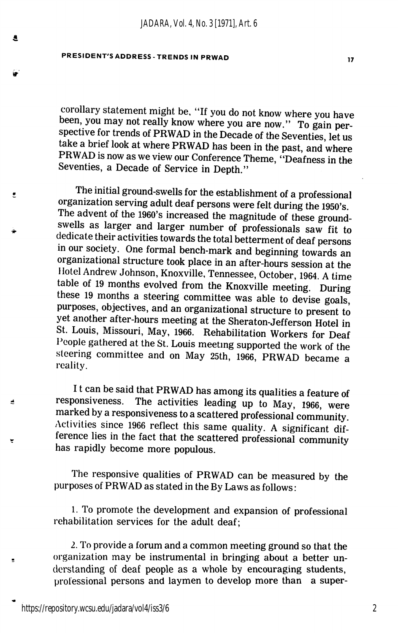*JADARA, Vol. 4, No. 3 [1971], Art. 6*

### PRESIDENT'S ADDRESS - TRENDS IN PRWAD

A

 $\bullet$ 

é

 $\blacksquare$ 

corollary statement might be, "If you do not know where you have been, you may not really know where you are now." To gain perspective for trends of PRWAD in the Decade of the Seventies, let us take a brief look at where PRWAD has been in the past, and where PRWAD is now as we view our Conference Theme, "Deafness in the Seventies, a Decade of Service in Depth."

The initial ground-swells for the establishment of a professional organization serving adult deaf persons were felt during the 1950's. The advent of the 1960's increased the magnitude of these groundswells as larger and larger number of professionals saw fit to dedicate their activities towards the total betterment of deaf persons in our society. One formal bench-mark and beginning towards an organizational structure took place in an after-hours session at the Hotel Andrew Johnson, Knoxville, Tennessee, October, 1964. A time table of 19 months evolved from the Knoxville meeting. During these 19 months a steering committee was able to devise goals, purposes, objectives, and an organizational structure to present to yet another after-hours meeting at the Sheraton-Jefferson Hotel in St. Louis, Missouri, May, 1966. Rehabilitation Workers for Deaf People gathered at the St. Louis meeting supported the work of the steering committee and on May 25th, 1966, PRWAD became a reality.

It can be said that PRWAD has among its qualities a feature of responsiveness. The activities leading up to May 1966, were The activities leading up to May, 1966, were marked by a responsiveness to a scattered professional community Activities since 1966 reflect this same quality. A significant dif ference lies in the fact that the scattered professional community has rapidly become more populous.

The responsive qualities of PRWAD can be measured by the purposes of PRWAD as stated in the By Laws as follows:

1. To promote the development and expansion of professional rehabilitation services for the adult deaf;

2. To provide a forum and a common meeting ground so that the organization may be instrumental in bringing about a better un derstanding of deaf people as a whole by encouraging students, professional persons and laymen to develop more than a super-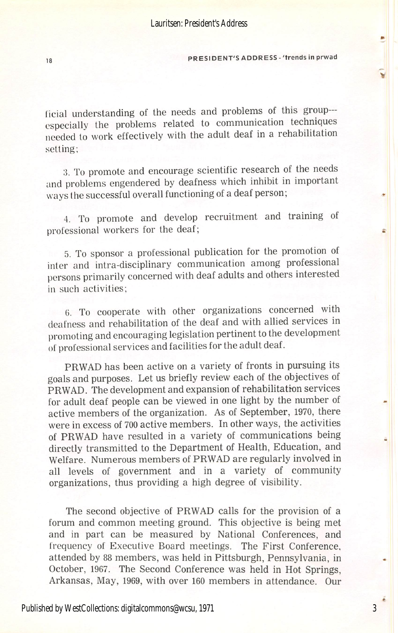#### 18 PRESIDENT'S ADDRESS - 'trends in prwad

licial understanding of the needs and problems of this group especially the problems related to communication techniques needed to work effectively with the adult deaf in a rehabilitation setting;

:5. To promote and encourage scientific research of the needs and problems engendered by deafness which inhibit in important ways the successful overall functioning of a deaf person;

4. To promote and develop recruitment and training of professional workers for the deaf;

5. To sponsor a professional publication for the promotion of inter and intra-disciplinary communication among professional persons primarily concerned with deaf adults and others interested in such activities;

6. To cooperate with other organizations concerned with deafness and rehabilitation of the deaf and with allied services in promoting and encouraging legislation pertinent to the development of professional services and facilities for the adult deaf.

PRWAD has been active on a variety of fronts in pursuing its goals and purposes. Let us briefly review each of the objectives of PRWAD. The development and expansion of rehabilitation services for adult deaf people can be viewed in one light by the number of active members of the organization. As of September, 1970, there were in excess of 700 active members. In other ways, the activities of PRWAD have resulted in a variety of communications being directly transmitted to the Department of Health, Education, and Welfare. Numerous members of PRWAD are regularly involved in all levels of government and in a variety of community organizations, thus providing a high degree of visibility.

The second objective of PRWAD calls for the provision of a forum and common meeting ground. This objective is being met and in part can be measured by National Conferences, and frequency of Executive Board meetings. The First Conference, attended by 88 members, was held in Pittsburgh, Pennsylvania, in October, 1967. The Second Conference was held in Hot Springs. Arkansas, May, 1969, with over 160 members in attendance. Our

3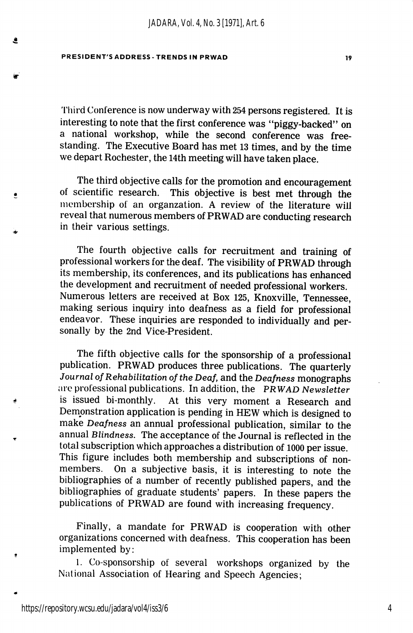#### PRESIDENT'S ADDRESS-TRENDS IN PRWAD IV

 $\bullet$ 

 $\bullet$ 

'I'hird Conference is now underway with 254 persons registered. It is interesting to note that the first conference was "piggy-backed" on a national workshop, while the second conference was free standing. The Executive Board has met 13 times, and by the time we depart Rochester, the 14th meeting will have taken place.

The third objective calls for the promotion and encouragement of scientific research. This objective is best met through the membership of an organzation. A review of the literature will reveal that numerous members of PRWAD are conducting research in their various settings.

The fourth objective calls for recruitment and training of professional workers for the deaf. The visibility of PRWAD through its membership, its conferences, and its publications has enhanced the development and recruitment of needed professional workers. Numerous letters are received at Box 125, Knoxville, Tennessee, making serious inquiry into deafness as a field for professional endeavor. These inquiries are responded to individually and per sonally by the 2nd Vice-President.

The fifth objective calls for the sponsorship of a professional publication. PRWAD produces three publications. The quarterly Journal of Rehabilitation of the Deaf, and the Deafness monographs are professional publications. In addition, the PRWAD Newsletter<br>is issued bi-monthly. At this very moment a Research and At this very moment a Research and Demonstration application is pending in HEW which is designed to make Deafness an annual professional publication, similar to the annual Blindness. The acceptance of the Journal is reflected in the total subscription which approaches a distribution of 1000 per issue. This figure includes both membership and subscriptions of nonmembers. On a subjective basis, it is interesting to note the bibliographies of a number of recently published papers, and the bibliographies of graduate students' papers. In these papers the publications of PRWAD are found with increasing frequency.

Finally, a mandate for PRWAD is cooperation with other organizations concerned with deafness. This cooperation has been implemented by:

1. Co-sponsorship of several workshops organized by the National Association of Hearing and Speech Agencies;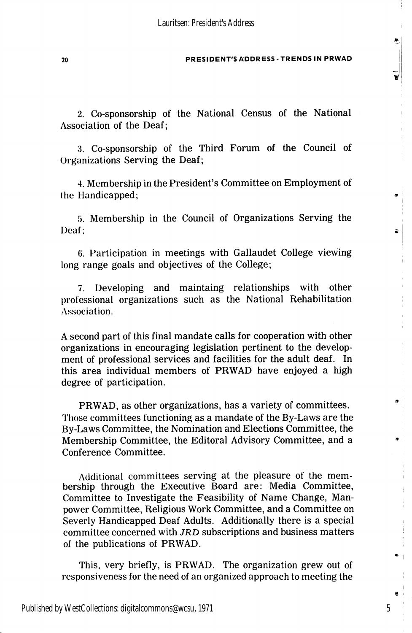#### 20 PRESIDENT'S ADDRESS-TRENDS IN PRWAD

2. Co-sponsorship of the National Census of the National Association of the Deaf;

3. Co-sponsorship of the Third Forum of the Council of Organizations Serving the Deaf;

4. Membership in the President's Committee on Employment of the Handicapped;

5. Membership in the Council of Organizations Serving the Deaf;

6. Participation in meetings with Gallaudet College viewing long range goals and objectives of the College;

7. Developing and maintaing relationships with other professional organizations such as the National Rehabilitation Association.

A second part of this final mandate calls for cooperation with other organizations in encouraging legislation pertinent to the develop ment of professional services and facilities for the adult deaf. In this area individual members of PRWAD have enjoyed a high degree of participation.

PRWAD, as other organizations, has a variety of committees. Those committees functioning as a mandate of the By-Laws are the By-Laws Committee, the Nomination and Elections Committee, the Membership Committee, the Editoral Advisory Committee, and a Conference Committee.

Additional committees serving at the pleasure of the mem bership through the Executive Board are: Media Committee, Committee to Investigate the Feasibility of Name Change, Man power Committee, Religious Work Committee, and a Committee on Severly Handicapped Deaf Adults. Additionally there is a special committee concerned with JRD subscriptions and business matters of the publications of PRWAD.

This, very briefly, is PRWAD. The organization grew out of responsiveness for the need of an organized approach to meeting the

5

w

 $\mathbf{z}$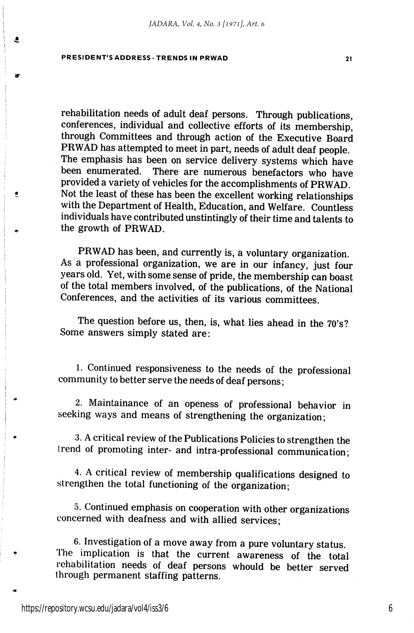#### PRESIDENT'S ADDRESS-TRENDS IN PRWAD 21

٤

 $\bullet$ 

rehabilitation needs of adult deaf persons. Through publications, conferences, individual and collective efforts of its membership, through Committees and through action of the Executive Board PRWAD has attempted to meet in part, needs of adult deaf people. The emphasis has been on service delivery systems which have been enumerated. There are numerous benefactors who have provided a variety of vehicles for the accomplishments of PRWAD. Not the least of these has been the excellent working relationships with the Department of Health, Education, and Welfare. Countless individuals have contributed unstintingly of their time and talents to the growth of PRWAD.

PRWAD has been, and currently is, a voluntary organization. As a professional organization, we are in our infancy, just four years old. Yet, with some sense of pride, the membership can boast of the total members involved, of the publications, of the National Conferences, and the activities of its various committees.

The question before us, then, is, what lies ahead in the 70's? Some answers simply stated are;

1. Continued responsiveness to the needs of the professional community to better serve the needs of deaf persons;

2. Maintainance of an openess of professional behavior in seeking ways and means of strengthening the organization;

3. A critical review of the Publications Policies to strengthen the trend of promoting inter- and intra-professional communication;

4. A critical review of membership qualifications designed to strengthen the total functioning of the organization;

.5. Continued emphasis on cooperation with other organizations concerned with deafness and with allied services;

6. Investigation of a move away from a pure voluntary status. The implication is that the current awareness of the total rehabilitation needs of deaf persons whould be better served through permanent staffing patterns.